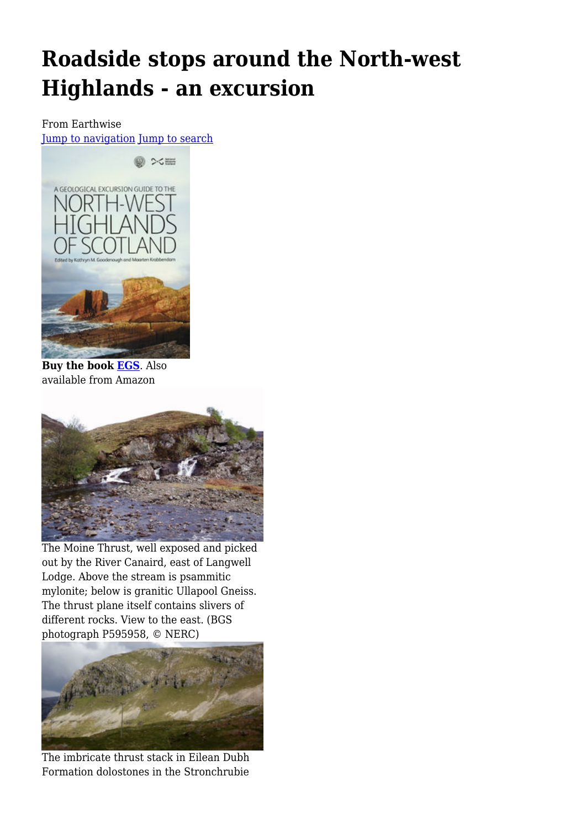# **Roadside stops around the North-west Highlands - an excursion**

#### From Earthwise [Jump to navigation](#page--1-0) [Jump to search](#page--1-0)



**Buy the book [EGS](http://www.edinburghgeolsoc.org/p_sales.html#nwh)**. Also available from Amazon



The Moine Thrust, well exposed and picked out by the River Canaird, east of Langwell Lodge. Above the stream is psammitic mylonite; below is granitic Ullapool Gneiss. The thrust plane itself contains slivers of different rocks. View to the east. (BGS photograph P595958, © NERC)



The imbricate thrust stack in Eilean Dubh Formation dolostones in the Stronchrubie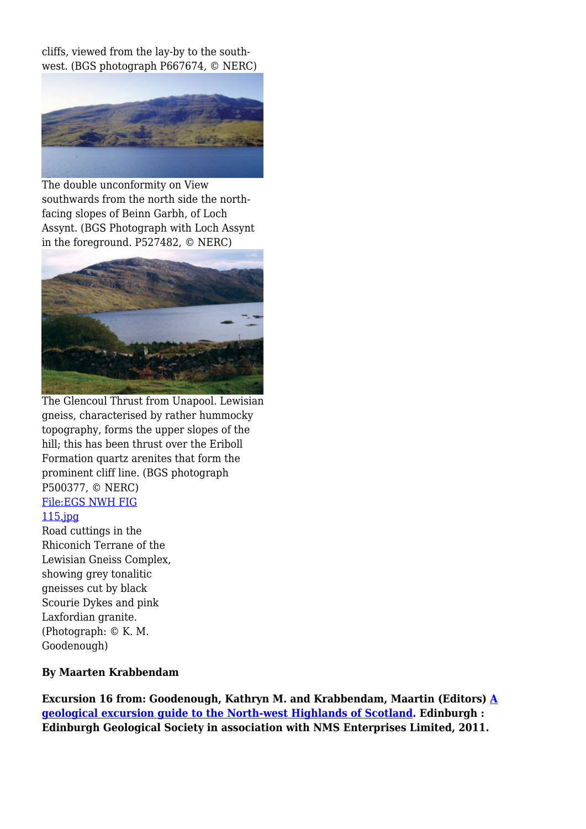cliffs, viewed from the lay-by to the southwest. (BGS photograph P667674, © NERC)



The double unconformity on View southwards from the north side the northfacing slopes of Beinn Garbh, of Loch Assynt. (BGS Photograph with Loch Assynt in the foreground. P527482, © NERC)



The Glencoul Thrust from Unapool. Lewisian gneiss, characterised by rather hummocky topography, forms the upper slopes of the hill; this has been thrust over the Eriboll Formation quartz arenites that form the prominent cliff line. (BGS photograph P500377, © NERC) [File:EGS NWH FIG](http://earthwise.bgs.ac.uk/index.php?title=Special:Upload&wpDestFile=EGS_NWH_FIG_115.jpg)

#### [115.jpg](http://earthwise.bgs.ac.uk/index.php?title=Special:Upload&wpDestFile=EGS_NWH_FIG_115.jpg)

Road cuttings in the Rhiconich Terrane of the Lewisian Gneiss Complex, showing grey tonalitic gneisses cut by black Scourie Dykes and pink Laxfordian granite. (Photograph: © K. M. Goodenough)

#### **By Maarten Krabbendam**

**Excursion 16 from: Goodenough, Kathryn M. and Krabbendam, Maartin (Editors) [A](http://earthwise.bgs.ac.uk/index.php/Geological_excursion_guide_to_the_North-west_Highlands_of_Scotland) [geological excursion guide to the North-west Highlands of Scotland](http://earthwise.bgs.ac.uk/index.php/Geological_excursion_guide_to_the_North-west_Highlands_of_Scotland). Edinburgh : Edinburgh Geological Society in association with NMS Enterprises Limited, 2011.**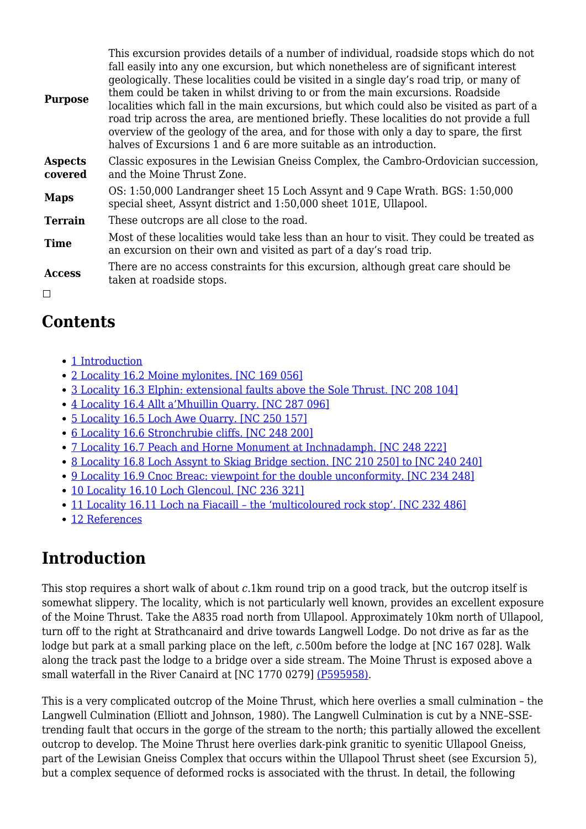| <b>Purpose</b>            | This excursion provides details of a number of individual, roadside stops which do not<br>fall easily into any one excursion, but which nonetheless are of significant interest<br>geologically. These localities could be visited in a single day's road trip, or many of<br>them could be taken in whilst driving to or from the main excursions. Roadside<br>localities which fall in the main excursions, but which could also be visited as part of a<br>road trip across the area, are mentioned briefly. These localities do not provide a full<br>overview of the geology of the area, and for those with only a day to spare, the first<br>halves of Excursions 1 and 6 are more suitable as an introduction. |
|---------------------------|------------------------------------------------------------------------------------------------------------------------------------------------------------------------------------------------------------------------------------------------------------------------------------------------------------------------------------------------------------------------------------------------------------------------------------------------------------------------------------------------------------------------------------------------------------------------------------------------------------------------------------------------------------------------------------------------------------------------|
| <b>Aspects</b><br>covered | Classic exposures in the Lewisian Gneiss Complex, the Cambro-Ordovician succession,<br>and the Moine Thrust Zone.                                                                                                                                                                                                                                                                                                                                                                                                                                                                                                                                                                                                      |
| <b>Maps</b>               | OS: 1:50,000 Landranger sheet 15 Loch Assynt and 9 Cape Wrath. BGS: 1:50,000<br>special sheet, Assynt district and 1:50,000 sheet 101E, Ullapool.                                                                                                                                                                                                                                                                                                                                                                                                                                                                                                                                                                      |
| <b>Terrain</b>            | These outcrops are all close to the road.                                                                                                                                                                                                                                                                                                                                                                                                                                                                                                                                                                                                                                                                              |
| <b>Time</b>               | Most of these localities would take less than an hour to visit. They could be treated as<br>an excursion on their own and visited as part of a day's road trip.                                                                                                                                                                                                                                                                                                                                                                                                                                                                                                                                                        |
| <b>Access</b>             | There are no access constraints for this excursion, although great care should be<br>taken at roadside stops.                                                                                                                                                                                                                                                                                                                                                                                                                                                                                                                                                                                                          |
| $\Box$                    |                                                                                                                                                                                                                                                                                                                                                                                                                                                                                                                                                                                                                                                                                                                        |

### **Contents**

- [1](#page--1-0) [Introduction](#page--1-0)
- [2](#Locality_16.2_Moine_mylonites._.5BNC_169_056.5D) [Locality 16.2 Moine mylonites. \[NC 169 056\]](#Locality_16.2_Moine_mylonites._.5BNC_169_056.5D)
- [3](#Locality_16.3_Elphin:_extensional_faults_above_the_Sole_Thrust._.5BNC_208_104.5D) [Locality 16.3 Elphin: extensional faults above the Sole Thrust. \[NC 208 104\]](#Locality_16.3_Elphin:_extensional_faults_above_the_Sole_Thrust._.5BNC_208_104.5D)
- [4](#Locality_16.4_Allt_a.E2.80.99Mhuillin_Quarry._.5BNC_287_096.5D) [Locality 16.4 Allt a'Mhuillin Quarry. \[NC 287 096\]](#Locality_16.4_Allt_a.E2.80.99Mhuillin_Quarry._.5BNC_287_096.5D)
- [5](#Locality_16.5_Loch_Awe_Quarry._.5BNC_250_157.5D) [Locality 16.5 Loch Awe Quarry. \[NC 250 157\]](#Locality_16.5_Loch_Awe_Quarry._.5BNC_250_157.5D)
- [6](#Locality_16.6_Stronchrubie_cliffs._.5BNC_248_200.5D) [Locality 16.6 Stronchrubie cliffs. \[NC 248 200\]](#Locality_16.6_Stronchrubie_cliffs._.5BNC_248_200.5D)
- [7](#Locality_16.7_Peach_and_Horne_Monument_at_Inchnadamph._.5BNC_248_222.5D) [Locality 16.7 Peach and Horne Monument at Inchnadamph. \[NC 248 222\]](#Locality_16.7_Peach_and_Horne_Monument_at_Inchnadamph._.5BNC_248_222.5D)
- [8](#Locality_16.8_Loch_Assynt_to_Skiag_Bridge_section._.5BNC_210_250.5D_to_.5BNC_240_240.5D) [Locality 16.8 Loch Assynt to Skiag Bridge section. \[NC 210 250\] to \[NC 240 240\]](#Locality_16.8_Loch_Assynt_to_Skiag_Bridge_section._.5BNC_210_250.5D_to_.5BNC_240_240.5D)
- [9](#Locality_16.9_Cnoc_Breac:_viewpoint_for_the_double_unconformity._.5BNC_234_248.5D) [Locality 16.9 Cnoc Breac: viewpoint for the double unconformity. \[NC 234 248\]](#Locality_16.9_Cnoc_Breac:_viewpoint_for_the_double_unconformity._.5BNC_234_248.5D)
- [10](#Locality_16.10_Loch_Glencoul._.5BNC_236_321.5D) [Locality 16.10 Loch Glencoul. \[NC 236 321\]](#Locality_16.10_Loch_Glencoul._.5BNC_236_321.5D)
- [11](#Locality_16.11_Loch_na_Fiacaill_.E2.80.93_the_.E2.80.98multicoloured_rock_stop.E2.80.99._.5BNC_232_486.5D) [Locality 16.11 Loch na Fiacaill the 'multicoloured rock stop'. \[NC 232 486\]](#Locality_16.11_Loch_na_Fiacaill_.E2.80.93_the_.E2.80.98multicoloured_rock_stop.E2.80.99._.5BNC_232_486.5D)
- [12](#page--1-0) [References](#page--1-0)

### **Introduction**

This stop requires a short walk of about *c*.1km round trip on a good track, but the outcrop itself is somewhat slippery. The locality, which is not particularly well known, provides an excellent exposure of the Moine Thrust. Take the A835 road north from Ullapool. Approximately 10km north of Ullapool, turn off to the right at Strathcanaird and drive towards Langwell Lodge. Do not drive as far as the lodge but park at a small parking place on the left, *c*.500m before the lodge at [NC 167 028]. Walk along the track past the lodge to a bridge over a side stream. The Moine Thrust is exposed above a small waterfall in the River Canaird at [NC 1770 0279] [\(P595958\)](http://earthwise.bgs.ac.uk/images/6/6e/P595958.jpg).

This is a very complicated outcrop of the Moine Thrust, which here overlies a small culmination – the Langwell Culmination (Elliott and Johnson, 1980). The Langwell Culmination is cut by a NNE–SSEtrending fault that occurs in the gorge of the stream to the north; this partially allowed the excellent outcrop to develop. The Moine Thrust here overlies dark-pink granitic to syenitic Ullapool Gneiss, part of the Lewisian Gneiss Complex that occurs within the Ullapool Thrust sheet (see Excursion 5), but a complex sequence of deformed rocks is associated with the thrust. In detail, the following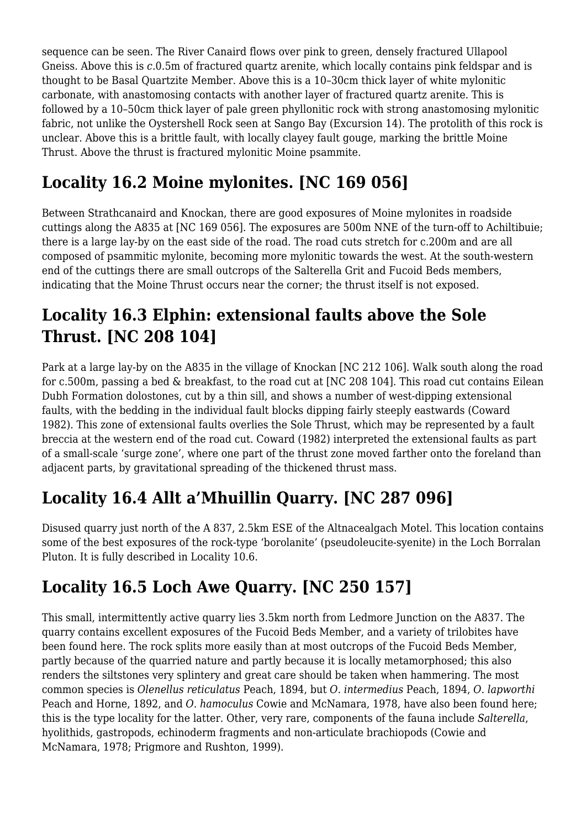sequence can be seen. The River Canaird flows over pink to green, densely fractured Ullapool Gneiss. Above this is *c*.0.5m of fractured quartz arenite, which locally contains pink feldspar and is thought to be Basal Quartzite Member. Above this is a 10–30cm thick layer of white mylonitic carbonate, with anastomosing contacts with another layer of fractured quartz arenite. This is followed by a 10–50cm thick layer of pale green phyllonitic rock with strong anastomosing mylonitic fabric, not unlike the Oystershell Rock seen at Sango Bay (Excursion 14). The protolith of this rock is unclear. Above this is a brittle fault, with locally clayey fault gouge, marking the brittle Moine Thrust. Above the thrust is fractured mylonitic Moine psammite.

## **Locality 16.2 Moine mylonites. [NC 169 056]**

Between Strathcanaird and Knockan, there are good exposures of Moine mylonites in roadside cuttings along the A835 at [NC 169 056]. The exposures are 500m NNE of the turn-off to Achiltibuie; there is a large lay-by on the east side of the road. The road cuts stretch for c.200m and are all composed of psammitic mylonite, becoming more mylonitic towards the west. At the south-western end of the cuttings there are small outcrops of the Salterella Grit and Fucoid Beds members, indicating that the Moine Thrust occurs near the corner; the thrust itself is not exposed.

### **Locality 16.3 Elphin: extensional faults above the Sole Thrust. [NC 208 104]**

Park at a large lay-by on the A835 in the village of Knockan [NC 212 106]. Walk south along the road for c.500m, passing a bed & breakfast, to the road cut at [NC 208 104]. This road cut contains Eilean Dubh Formation dolostones, cut by a thin sill, and shows a number of west-dipping extensional faults, with the bedding in the individual fault blocks dipping fairly steeply eastwards (Coward 1982). This zone of extensional faults overlies the Sole Thrust, which may be represented by a fault breccia at the western end of the road cut. Coward (1982) interpreted the extensional faults as part of a small-scale 'surge zone', where one part of the thrust zone moved farther onto the foreland than adjacent parts, by gravitational spreading of the thickened thrust mass.

## **Locality 16.4 Allt a'Mhuillin Quarry. [NC 287 096]**

Disused quarry just north of the A 837, 2.5km ESE of the Altnacealgach Motel. This location contains some of the best exposures of the rock-type 'borolanite' (pseudoleucite-syenite) in the Loch Borralan Pluton. It is fully described in Locality 10.6.

## **Locality 16.5 Loch Awe Quarry. [NC 250 157]**

This small, intermittently active quarry lies 3.5km north from Ledmore Junction on the A837. The quarry contains excellent exposures of the Fucoid Beds Member, and a variety of trilobites have been found here. The rock splits more easily than at most outcrops of the Fucoid Beds Member, partly because of the quarried nature and partly because it is locally metamorphosed; this also renders the siltstones very splintery and great care should be taken when hammering. The most common species is *Olenellus reticulatus* Peach, 1894, but *O. intermedius* Peach, 1894, *O. lapworthi* Peach and Horne, 1892, and *O. hamoculus* Cowie and McNamara, 1978, have also been found here; this is the type locality for the latter. Other, very rare, components of the fauna include *Salterella*, hyolithids, gastropods, echinoderm fragments and non-articulate brachiopods (Cowie and McNamara, 1978; Prigmore and Rushton, 1999).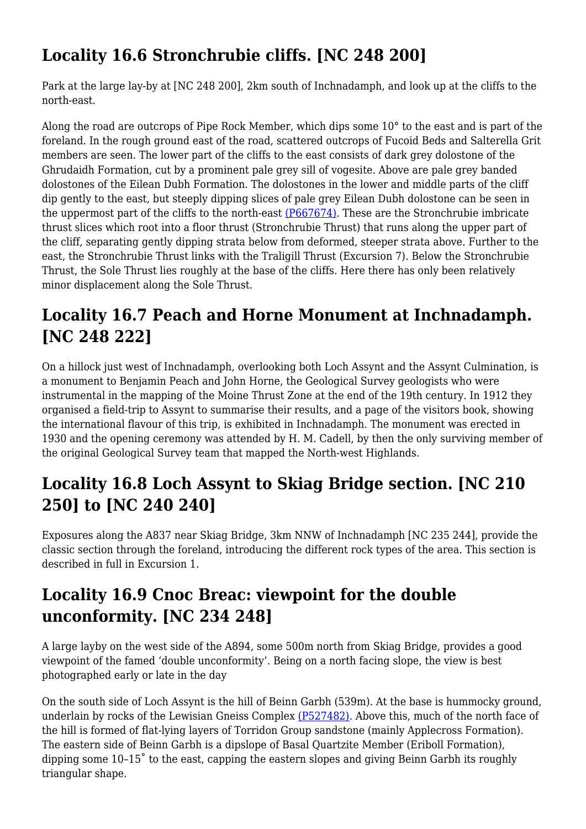## **Locality 16.6 Stronchrubie cliffs. [NC 248 200]**

Park at the large lay-by at [NC 248 200], 2km south of Inchnadamph, and look up at the cliffs to the north-east.

Along the road are outcrops of Pipe Rock Member, which dips some 10° to the east and is part of the foreland. In the rough ground east of the road, scattered outcrops of Fucoid Beds and Salterella Grit members are seen. The lower part of the cliffs to the east consists of dark grey dolostone of the Ghrudaidh Formation, cut by a prominent pale grey sill of vogesite. Above are pale grey banded dolostones of the Eilean Dubh Formation. The dolostones in the lower and middle parts of the cliff dip gently to the east, but steeply dipping slices of pale grey Eilean Dubh dolostone can be seen in the uppermost part of the cliffs to the north-east [\(P667674\).](http://earthwise.bgs.ac.uk/images/3/37/P667674.jpg) These are the Stronchrubie imbricate thrust slices which root into a floor thrust (Stronchrubie Thrust) that runs along the upper part of the cliff, separating gently dipping strata below from deformed, steeper strata above. Further to the east, the Stronchrubie Thrust links with the Traligill Thrust (Excursion 7). Below the Stronchrubie Thrust, the Sole Thrust lies roughly at the base of the cliffs. Here there has only been relatively minor displacement along the Sole Thrust.

## **Locality 16.7 Peach and Horne Monument at Inchnadamph. [NC 248 222]**

On a hillock just west of Inchnadamph, overlooking both Loch Assynt and the Assynt Culmination, is a monument to Benjamin Peach and John Horne, the Geological Survey geologists who were instrumental in the mapping of the Moine Thrust Zone at the end of the 19th century. In 1912 they organised a field-trip to Assynt to summarise their results, and a page of the visitors book, showing the international flavour of this trip, is exhibited in Inchnadamph. The monument was erected in 1930 and the opening ceremony was attended by H. M. Cadell, by then the only surviving member of the original Geological Survey team that mapped the North-west Highlands.

### **Locality 16.8 Loch Assynt to Skiag Bridge section. [NC 210 250] to [NC 240 240]**

Exposures along the A837 near Skiag Bridge, 3km NNW of Inchnadamph [NC 235 244], provide the classic section through the foreland, introducing the different rock types of the area. This section is described in full in Excursion 1.

### **Locality 16.9 Cnoc Breac: viewpoint for the double unconformity. [NC 234 248]**

A large layby on the west side of the A894, some 500m north from Skiag Bridge, provides a good viewpoint of the famed 'double unconformity'. Being on a north facing slope, the view is best photographed early or late in the day

On the south side of Loch Assynt is the hill of Beinn Garbh (539m). At the base is hummocky ground, underlain by rocks of the Lewisian Gneiss Complex [\(P527482\)](http://earthwise.bgs.ac.uk/images/3/34/P527482.jpg). Above this, much of the north face of the hill is formed of flat-lying layers of Torridon Group sandstone (mainly Applecross Formation). The eastern side of Beinn Garbh is a dipslope of Basal Quartzite Member (Eriboll Formation), dipping some 10–15˚ to the east, capping the eastern slopes and giving Beinn Garbh its roughly triangular shape.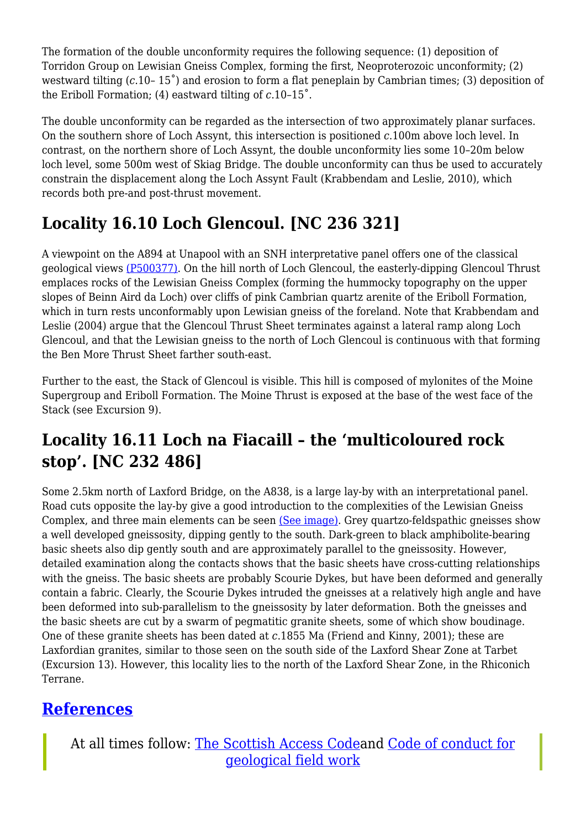The formation of the double unconformity requires the following sequence: (1) deposition of Torridon Group on Lewisian Gneiss Complex, forming the first, Neoproterozoic unconformity; (2) westward tilting (*c*.10– 15˚) and erosion to form a flat peneplain by Cambrian times; (3) deposition of the Eriboll Formation; (4) eastward tilting of *c*.10–15˚.

The double unconformity can be regarded as the intersection of two approximately planar surfaces. On the southern shore of Loch Assynt, this intersection is positioned *c*.100m above loch level. In contrast, on the northern shore of Loch Assynt, the double unconformity lies some 10–20m below loch level, some 500m west of Skiag Bridge. The double unconformity can thus be used to accurately constrain the displacement along the Loch Assynt Fault (Krabbendam and Leslie, 2010), which records both pre-and post-thrust movement.

## **Locality 16.10 Loch Glencoul. [NC 236 321]**

A viewpoint on the A894 at Unapool with an SNH interpretative panel offers one of the classical geological views [\(P500377\)](http://earthwise.bgs.ac.uk/images/6/61/P500377.jpg). On the hill north of Loch Glencoul, the easterly-dipping Glencoul Thrust emplaces rocks of the Lewisian Gneiss Complex (forming the hummocky topography on the upper slopes of Beinn Aird da Loch) over cliffs of pink Cambrian quartz arenite of the Eriboll Formation, which in turn rests unconformably upon Lewisian gneiss of the foreland. Note that Krabbendam and Leslie (2004) argue that the Glencoul Thrust Sheet terminates against a lateral ramp along Loch Glencoul, and that the Lewisian gneiss to the north of Loch Glencoul is continuous with that forming the Ben More Thrust Sheet farther south-east.

Further to the east, the Stack of Glencoul is visible. This hill is composed of mylonites of the Moine Supergroup and Eriboll Formation. The Moine Thrust is exposed at the base of the west face of the Stack (see Excursion 9).

### **Locality 16.11 Loch na Fiacaill – the 'multicoloured rock stop'. [NC 232 486]**

Some 2.5km north of Laxford Bridge, on the A838, is a large lay-by with an interpretational panel. Road cuts opposite the lay-by give a good introduction to the complexities of the Lewisian Gneiss Complex, and three main elements can be seen [\(See image\).](http://earthwise.bgs.ac.uk/index.php?title=Special:Upload&wpDestFile=EGS_NWH_FIG_115.jpg) Grey quartzo-feldspathic gneisses show a well developed gneissosity, dipping gently to the south. Dark-green to black amphibolite-bearing basic sheets also dip gently south and are approximately parallel to the gneissosity. However, detailed examination along the contacts shows that the basic sheets have cross-cutting relationships with the gneiss. The basic sheets are probably Scourie Dykes, but have been deformed and generally contain a fabric. Clearly, the Scourie Dykes intruded the gneisses at a relatively high angle and have been deformed into sub-parallelism to the gneissosity by later deformation. Both the gneisses and the basic sheets are cut by a swarm of pegmatitic granite sheets, some of which show boudinage. One of these granite sheets has been dated at *c*.1855 Ma (Friend and Kinny, 2001); these are Laxfordian granites, similar to those seen on the south side of the Laxford Shear Zone at Tarbet (Excursion 13). However, this locality lies to the north of the Laxford Shear Zone, in the Rhiconich Terrane.

### **[References](http://earthwise.bgs.ac.uk/index.php/References_-_Geological_excursion_guide_to_the_North-west_Highlands_of_Scotland)**

At all times follow: [The Scottish Access Codea](http://www.outdooraccess-scotland.com/the-act-and-the-code/introduction)nd [Code of conduct for](https://www.scottishgeology.com/where-to-go/geological-fieldwork-code/) [geological field work](https://www.scottishgeology.com/where-to-go/geological-fieldwork-code/)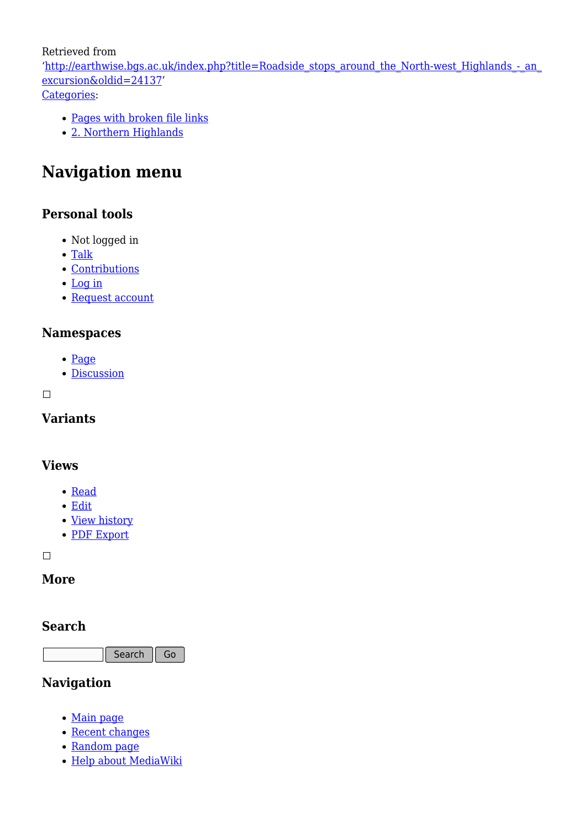Retrieved from

'[http://earthwise.bgs.ac.uk/index.php?title=Roadside\\_stops\\_around\\_the\\_North-west\\_Highlands\\_-\\_an\\_](http://earthwise.bgs.ac.uk/index.php?title=Roadside_stops_around_the_North-west_Highlands_-_an_excursion&oldid=24137) [excursion&oldid=24137'](http://earthwise.bgs.ac.uk/index.php?title=Roadside_stops_around_the_North-west_Highlands_-_an_excursion&oldid=24137) [Categories:](http://earthwise.bgs.ac.uk/index.php/Special:Categories)

[Pages with broken file links](http://earthwise.bgs.ac.uk/index.php?title=Category:Pages_with_broken_file_links&action=edit&redlink=1)

[2. Northern Highlands](http://earthwise.bgs.ac.uk/index.php/Category:2._Northern_Highlands)

### **Navigation menu**

### **Personal tools**

- Not logged in
- [Talk](http://earthwise.bgs.ac.uk/index.php/Special:MyTalk)
- [Contributions](http://earthwise.bgs.ac.uk/index.php/Special:MyContributions)
- [Log in](http://earthwise.bgs.ac.uk/index.php?title=Special:UserLogin&returnto=Roadside+stops+around+the+North-west+Highlands+-+an+excursion&returntoquery=action%3Dmpdf)
- [Request account](http://earthwise.bgs.ac.uk/index.php/Special:RequestAccount)

#### **Namespaces**

- [Page](http://earthwise.bgs.ac.uk/index.php/Roadside_stops_around_the_North-west_Highlands_-_an_excursion)
- [Discussion](http://earthwise.bgs.ac.uk/index.php?title=Talk:Roadside_stops_around_the_North-west_Highlands_-_an_excursion&action=edit&redlink=1)

 $\Box$ 

### **Variants**

#### **Views**

- [Read](http://earthwise.bgs.ac.uk/index.php/Roadside_stops_around_the_North-west_Highlands_-_an_excursion)
- [Edit](http://earthwise.bgs.ac.uk/index.php?title=Roadside_stops_around_the_North-west_Highlands_-_an_excursion&action=edit)
- [View history](http://earthwise.bgs.ac.uk/index.php?title=Roadside_stops_around_the_North-west_Highlands_-_an_excursion&action=history)
- [PDF Export](http://earthwise.bgs.ac.uk/index.php?title=Roadside_stops_around_the_North-west_Highlands_-_an_excursion&action=mpdf)

 $\overline{\phantom{a}}$ 

### **More**

#### **Search**

Search Go

### **Navigation**

- [Main page](http://earthwise.bgs.ac.uk/index.php/Main_Page)
- [Recent changes](http://earthwise.bgs.ac.uk/index.php/Special:RecentChanges)
- [Random page](http://earthwise.bgs.ac.uk/index.php/Special:Random)
- [Help about MediaWiki](https://www.mediawiki.org/wiki/Special:MyLanguage/Help:Contents)